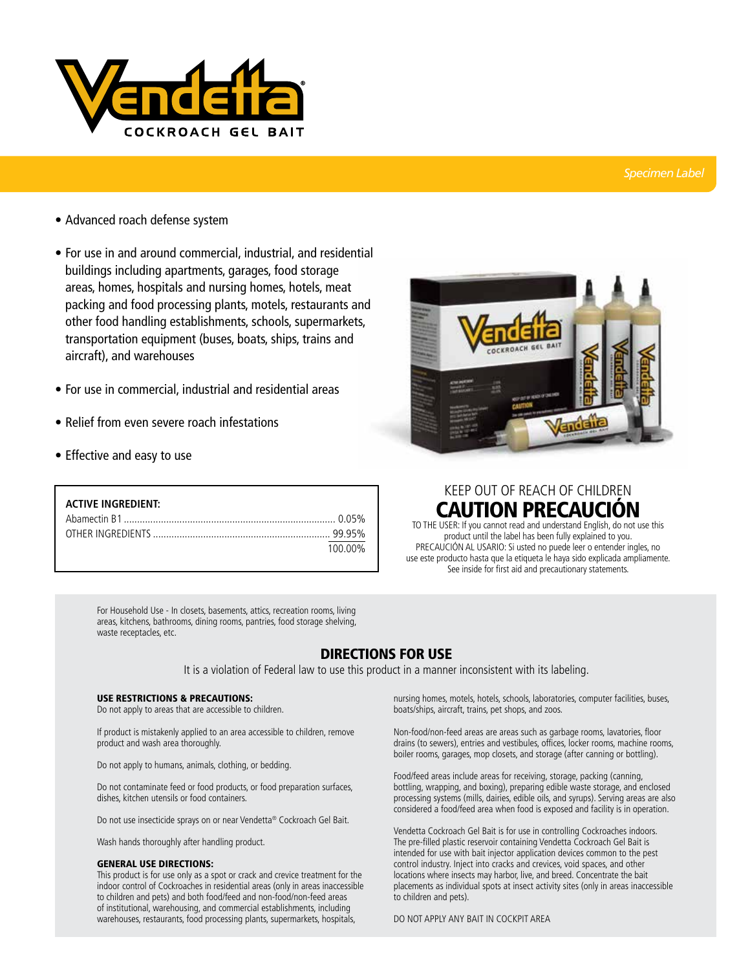

### *Specimen Label*

- Advanced roach defense system
- For use in and around commercial, industrial, and residential buildings including apartments, garages, food storage areas, homes, hospitals and nursing homes, hotels, meat packing and food processing plants, motels, restaurants and other food handling establishments, schools, supermarkets, transportation equipment (buses, boats, ships, trains and aircraft), and warehouses
- For use in commercial, industrial and residential areas
- Relief from even severe roach infestations
- Effective and easy to use

| <b>ACTIVE INGREDIENT:</b> |         |
|---------------------------|---------|
|                           |         |
|                           |         |
|                           | 100 00% |



# KEEP OUT OF REACH OF CHILDREN **CAUTION PRECAUCION**

TO THE USER: If you cannot read and understand English, do not use this product until the label has been fully explained to you. PRECAUCIÓN AL USARIO: Si usted no puede leer o entender ingles, no use este producto hasta que la etiqueta le haya sido explicada ampliamente. See inside for first aid and precautionary statements.

For Household Use - In closets, basements, attics, recreation rooms, living areas, kitchens, bathrooms, dining rooms, pantries, food storage shelving, waste receptacles, etc.

## DIRECTIONS FOR USE

It is a violation of Federal law to use this product in a manner inconsistent with its labeling.

#### USE RESTRICTIONS & PRECAUTIONS:

Do not apply to areas that are accessible to children.

If product is mistakenly applied to an area accessible to children, remove product and wash area thoroughly.

Do not apply to humans, animals, clothing, or bedding.

Do not contaminate feed or food products, or food preparation surfaces, dishes, kitchen utensils or food containers.

Do not use insecticide sprays on or near Vendetta® Cockroach Gel Bait.

Wash hands thoroughly after handling product.

#### GENERAL USE DIRECTIONS:

This product is for use only as a spot or crack and crevice treatment for the indoor control of Cockroaches in residential areas (only in areas inaccessible to children and pets) and both food/feed and non-food/non-feed areas of institutional, warehousing, and commercial establishments, including warehouses, restaurants, food processing plants, supermarkets, hospitals,

nursing homes, motels, hotels, schools, laboratories, computer facilities, buses, boats/ships, aircraft, trains, pet shops, and zoos.

Non-food/non-feed areas are areas such as garbage rooms, lavatories, floor drains (to sewers), entries and vestibules, offices, locker rooms, machine rooms, boiler rooms, garages, mop closets, and storage (after canning or bottling).

Food/feed areas include areas for receiving, storage, packing (canning, bottling, wrapping, and boxing), preparing edible waste storage, and enclosed processing systems (mills, dairies, edible oils, and syrups). Serving areas are also considered a food/feed area when food is exposed and facility is in operation.

Vendetta Cockroach Gel Bait is for use in controlling Cockroaches indoors. The pre-filled plastic reservoir containing Vendetta Cockroach Gel Bait is intended for use with bait injector application devices common to the pest control industry. Inject into cracks and crevices, void spaces, and other locations where insects may harbor, live, and breed. Concentrate the bait placements as individual spots at insect activity sites (only in areas inaccessible to children and pets).

DO NOT APPLY ANY BAIT IN COCKPIT AREA